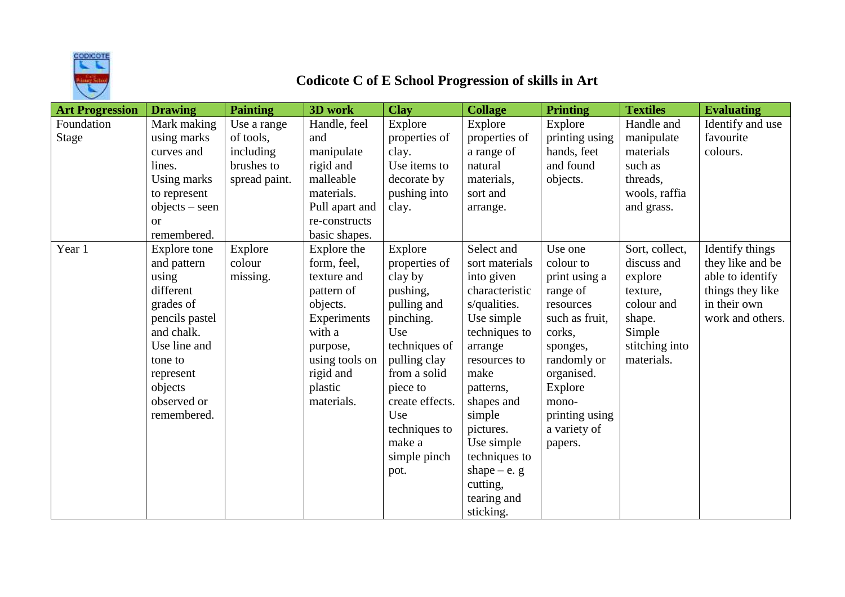

## **Codicote C of E School Progression of skills in Art**

| <b>Art Progression</b> | <b>Drawing</b>   | <b>Painting</b> | 3D work        | <b>Clay</b>     | <b>Collage</b> | <b>Printing</b> | <b>Textiles</b> | <b>Evaluating</b> |
|------------------------|------------------|-----------------|----------------|-----------------|----------------|-----------------|-----------------|-------------------|
| Foundation             | Mark making      | Use a range     | Handle, feel   | Explore         | Explore        | Explore         | Handle and      | Identify and use  |
| Stage                  | using marks      | of tools,       | and            | properties of   | properties of  | printing using  | manipulate      | favourite         |
|                        | curves and       | including       | manipulate     | clay.           | a range of     | hands, feet     | materials       | colours.          |
|                        | lines.           | brushes to      | rigid and      | Use items to    | natural        | and found       | such as         |                   |
|                        | Using marks      | spread paint.   | malleable      | decorate by     | materials,     | objects.        | threads,        |                   |
|                        | to represent     |                 | materials.     | pushing into    | sort and       |                 | wools, raffia   |                   |
|                        | $objects - seen$ |                 | Pull apart and | clay.           | arrange.       |                 | and grass.      |                   |
|                        | $\alpha$         |                 | re-constructs  |                 |                |                 |                 |                   |
|                        | remembered.      |                 | basic shapes.  |                 |                |                 |                 |                   |
| Year 1                 | Explore tone     | Explore         | Explore the    | Explore         | Select and     | Use one         | Sort, collect,  | Identify things   |
|                        | and pattern      | colour          | form, feel,    | properties of   | sort materials | colour to       | discuss and     | they like and be  |
|                        | using            | missing.        | texture and    | clay by         | into given     | print using a   | explore         | able to identify  |
|                        | different        |                 | pattern of     | pushing,        | characteristic | range of        | texture,        | things they like  |
|                        | grades of        |                 | objects.       | pulling and     | s/qualities.   | resources       | colour and      | in their own      |
|                        | pencils pastel   |                 | Experiments    | pinching.       | Use simple     | such as fruit,  | shape.          | work and others.  |
|                        | and chalk.       |                 | with a         | Use             | techniques to  | corks,          | Simple          |                   |
|                        | Use line and     |                 | purpose,       | techniques of   | arrange        | sponges,        | stitching into  |                   |
|                        | tone to          |                 | using tools on | pulling clay    | resources to   | randomly or     | materials.      |                   |
|                        | represent        |                 | rigid and      | from a solid    | make           | organised.      |                 |                   |
|                        | objects          |                 | plastic        | piece to        | patterns,      | Explore         |                 |                   |
|                        | observed or      |                 | materials.     | create effects. | shapes and     | mono-           |                 |                   |
|                        | remembered.      |                 |                | Use             | simple         | printing using  |                 |                   |
|                        |                  |                 |                | techniques to   | pictures.      | a variety of    |                 |                   |
|                        |                  |                 |                | make a          | Use simple     | papers.         |                 |                   |
|                        |                  |                 |                | simple pinch    | techniques to  |                 |                 |                   |
|                        |                  |                 |                | pot.            | shape $-e$ . g |                 |                 |                   |
|                        |                  |                 |                |                 | cutting,       |                 |                 |                   |
|                        |                  |                 |                |                 | tearing and    |                 |                 |                   |
|                        |                  |                 |                |                 | sticking.      |                 |                 |                   |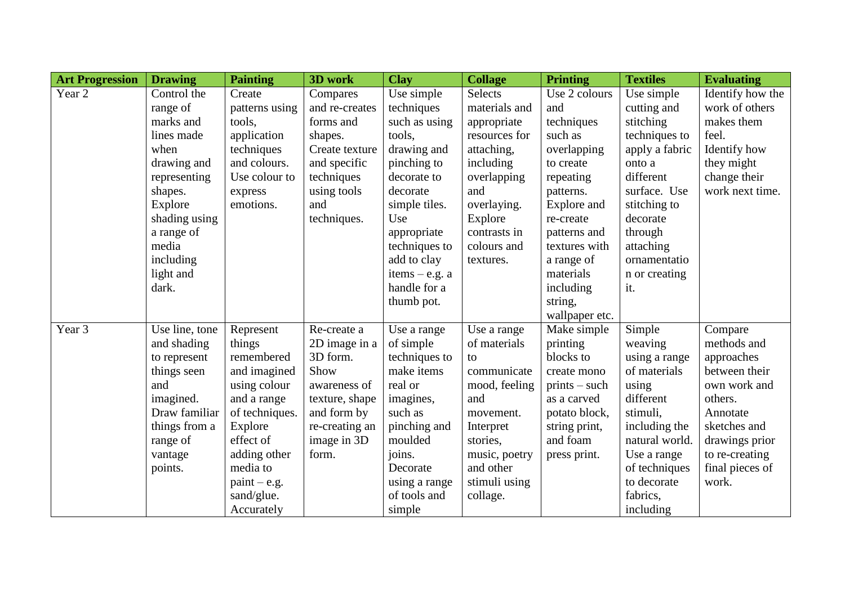| <b>Art Progression</b> | <b>Drawing</b> | <b>Painting</b> | 3D work        | <b>Clay</b>      | <b>Collage</b> | <b>Printing</b> | <b>Textiles</b> | <b>Evaluating</b> |
|------------------------|----------------|-----------------|----------------|------------------|----------------|-----------------|-----------------|-------------------|
| Year 2                 | Control the    | Create          | Compares       | Use simple       | Selects        | Use 2 colours   | Use simple      | Identify how the  |
|                        | range of       | patterns using  | and re-creates | techniques       | materials and  | and             | cutting and     | work of others    |
|                        | marks and      | tools,          | forms and      | such as using    | appropriate    | techniques      | stitching       | makes them        |
|                        | lines made     | application     | shapes.        | tools,           | resources for  | such as         | techniques to   | feel.             |
|                        | when           | techniques      | Create texture | drawing and      | attaching,     | overlapping     | apply a fabric  | Identify how      |
|                        | drawing and    | and colours.    | and specific   | pinching to      | including      | to create       | onto a          | they might        |
|                        | representing   | Use colour to   | techniques     | decorate to      | overlapping    | repeating       | different       | change their      |
|                        | shapes.        | express         | using tools    | decorate         | and            | patterns.       | surface. Use    | work next time.   |
|                        | Explore        | emotions.       | and            | simple tiles.    | overlaying.    | Explore and     | stitching to    |                   |
|                        | shading using  |                 | techniques.    | Use              | Explore        | re-create       | decorate        |                   |
|                        | a range of     |                 |                | appropriate      | contrasts in   | patterns and    | through         |                   |
|                        | media          |                 |                | techniques to    | colours and    | textures with   | attaching       |                   |
|                        | including      |                 |                | add to clay      | textures.      | a range of      | ornamentatio    |                   |
|                        | light and      |                 |                | items $-$ e.g. a |                | materials       | n or creating   |                   |
|                        | dark.          |                 |                | handle for a     |                | including       | it.             |                   |
|                        |                |                 |                | thumb pot.       |                | string,         |                 |                   |
|                        |                |                 |                |                  |                | wallpaper etc.  |                 |                   |
| Year 3                 | Use line, tone | Represent       | Re-create a    | Use a range      | Use a range    | Make simple     | Simple          | Compare           |
|                        | and shading    | things          | 2D image in a  | of simple        | of materials   | printing        | weaving         | methods and       |
|                        | to represent   | remembered      | 3D form.       | techniques to    | to             | blocks to       | using a range   | approaches        |
|                        | things seen    | and imagined    | Show           | make items       | communicate    | create mono     | of materials    | between their     |
|                        | and            | using colour    | awareness of   | real or          | mood, feeling  | $prints - such$ | using           | own work and      |
|                        | imagined.      | and a range     | texture, shape | imagines,        | and            | as a carved     | different       | others.           |
|                        | Draw familiar  | of techniques.  | and form by    | such as          | movement.      | potato block,   | stimuli,        | Annotate          |
|                        | things from a  | Explore         | re-creating an | pinching and     | Interpret      | string print,   | including the   | sketches and      |
|                        | range of       | effect of       | image in 3D    | moulded          | stories,       | and foam        | natural world.  | drawings prior    |
|                        | vantage        | adding other    | form.          | joins.           | music, poetry  | press print.    | Use a range     | to re-creating    |
|                        | points.        | media to        |                | Decorate         | and other      |                 | of techniques   | final pieces of   |
|                        |                | $paint - e.g.$  |                | using a range    | stimuli using  |                 | to decorate     | work.             |
|                        |                | sand/glue.      |                | of tools and     | collage.       |                 | fabrics,        |                   |
|                        |                | Accurately      |                | simple           |                |                 | including       |                   |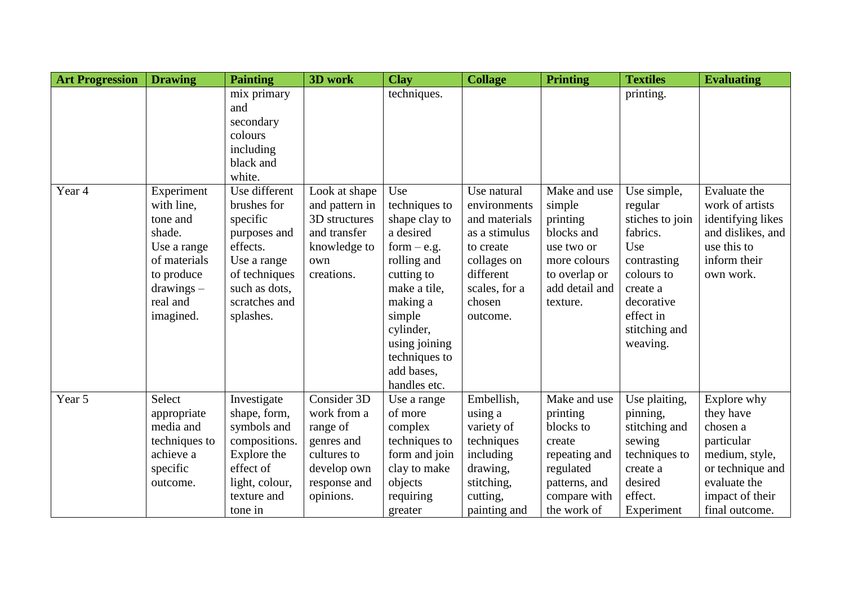| <b>Art Progression</b> | <b>Drawing</b> | <b>Painting</b> | 3D work        | <b>Clay</b>   | <b>Collage</b> | <b>Printing</b> | <b>Textiles</b> | <b>Evaluating</b> |
|------------------------|----------------|-----------------|----------------|---------------|----------------|-----------------|-----------------|-------------------|
|                        |                | mix primary     |                | techniques.   |                |                 | printing.       |                   |
|                        |                | and             |                |               |                |                 |                 |                   |
|                        |                | secondary       |                |               |                |                 |                 |                   |
|                        |                | colours         |                |               |                |                 |                 |                   |
|                        |                | including       |                |               |                |                 |                 |                   |
|                        |                | black and       |                |               |                |                 |                 |                   |
|                        |                | white.          |                |               |                |                 |                 |                   |
| Year 4                 | Experiment     | Use different   | Look at shape  | Use           | Use natural    | Make and use    | Use simple,     | Evaluate the      |
|                        | with line,     | brushes for     | and pattern in | techniques to | environments   | simple          | regular         | work of artists   |
|                        | tone and       | specific        | 3D structures  | shape clay to | and materials  | printing        | stiches to join | identifying likes |
|                        | shade.         | purposes and    | and transfer   | a desired     | as a stimulus  | blocks and      | fabrics.        | and dislikes, and |
|                        | Use a range    | effects.        | knowledge to   | form $-$ e.g. | to create      | use two or      | Use             | use this to       |
|                        | of materials   | Use a range     | own            | rolling and   | collages on    | more colours    | contrasting     | inform their      |
|                        | to produce     | of techniques   | creations.     | cutting to    | different      | to overlap or   | colours to      | own work.         |
|                        | $drawings -$   | such as dots,   |                | make a tile,  | scales, for a  | add detail and  | create a        |                   |
|                        | real and       | scratches and   |                | making a      | chosen         | texture.        | decorative      |                   |
|                        | imagined.      | splashes.       |                | simple        | outcome.       |                 | effect in       |                   |
|                        |                |                 |                | cylinder,     |                |                 | stitching and   |                   |
|                        |                |                 |                | using joining |                |                 | weaving.        |                   |
|                        |                |                 |                | techniques to |                |                 |                 |                   |
|                        |                |                 |                | add bases,    |                |                 |                 |                   |
|                        |                |                 |                | handles etc.  |                |                 |                 |                   |
| Year 5                 | Select         | Investigate     | Consider 3D    | Use a range   | Embellish,     | Make and use    | Use plaiting,   | Explore why       |
|                        | appropriate    | shape, form,    | work from a    | of more       | using a        | printing        | pinning,        | they have         |
|                        | media and      | symbols and     | range of       | complex       | variety of     | blocks to       | stitching and   | chosen a          |
|                        | techniques to  | compositions.   | genres and     | techniques to | techniques     | create          | sewing          | particular        |
|                        | achieve a      | Explore the     | cultures to    | form and join | including      | repeating and   | techniques to   | medium, style,    |
|                        | specific       | effect of       | develop own    | clay to make  | drawing,       | regulated       | create a        | or technique and  |
|                        | outcome.       | light, colour,  | response and   | objects       | stitching,     | patterns, and   | desired         | evaluate the      |
|                        |                | texture and     | opinions.      | requiring     | cutting,       | compare with    | effect.         | impact of their   |
|                        |                | tone in         |                | greater       | painting and   | the work of     | Experiment      | final outcome.    |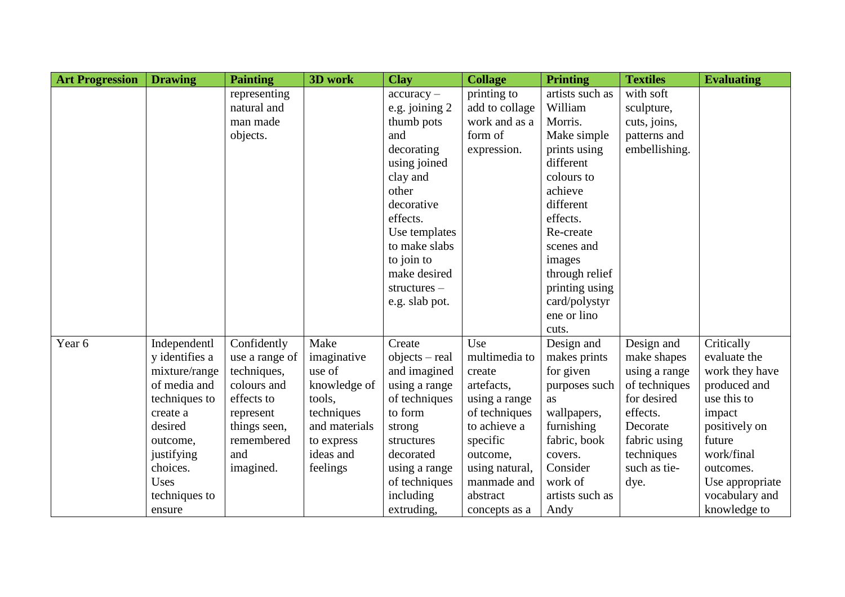| <b>Art Progression</b> | <b>Drawing</b> | <b>Painting</b> | 3D work       | <b>Clay</b>      | <b>Collage</b> | <b>Printing</b> | <b>Textiles</b> | <b>Evaluating</b> |
|------------------------|----------------|-----------------|---------------|------------------|----------------|-----------------|-----------------|-------------------|
|                        |                | representing    |               | $accuracy -$     | printing to    | artists such as | with soft       |                   |
|                        |                | natural and     |               | e.g. joining 2   | add to collage | William         | sculpture,      |                   |
|                        |                | man made        |               | thumb pots       | work and as a  | Morris.         | cuts, joins,    |                   |
|                        |                | objects.        |               | and              | form of        | Make simple     | patterns and    |                   |
|                        |                |                 |               | decorating       | expression.    | prints using    | embellishing.   |                   |
|                        |                |                 |               | using joined     |                | different       |                 |                   |
|                        |                |                 |               | clay and         |                | colours to      |                 |                   |
|                        |                |                 |               | other            |                | achieve         |                 |                   |
|                        |                |                 |               | decorative       |                | different       |                 |                   |
|                        |                |                 |               | effects.         |                | effects.        |                 |                   |
|                        |                |                 |               | Use templates    |                | Re-create       |                 |                   |
|                        |                |                 |               | to make slabs    |                | scenes and      |                 |                   |
|                        |                |                 |               | to join to       |                | images          |                 |                   |
|                        |                |                 |               | make desired     |                | through relief  |                 |                   |
|                        |                |                 |               | $structures -$   |                | printing using  |                 |                   |
|                        |                |                 |               | e.g. slab pot.   |                | card/polystyr   |                 |                   |
|                        |                |                 |               |                  |                | ene or lino     |                 |                   |
|                        |                |                 |               |                  |                | cuts.           |                 |                   |
| Year 6                 | Independentl   | Confidently     | Make          | Create           | Use            | Design and      | Design and      | Critically        |
|                        | y identifies a | use a range of  | imaginative   | $objects - real$ | multimedia to  | makes prints    | make shapes     | evaluate the      |
|                        | mixture/range  | techniques,     | use of        | and imagined     | create         | for given       | using a range   | work they have    |
|                        | of media and   | colours and     | knowledge of  | using a range    | artefacts,     | purposes such   | of techniques   | produced and      |
|                        | techniques to  | effects to      | tools,        | of techniques    | using a range  | as              | for desired     | use this to       |
|                        | create a       | represent       | techniques    | to form          | of techniques  | wallpapers,     | effects.        | impact            |
|                        | desired        | things seen,    | and materials | strong           | to achieve a   | furnishing      | Decorate        | positively on     |
|                        | outcome,       | remembered      | to express    | structures       | specific       | fabric, book    | fabric using    | future            |
|                        | justifying     | and             | ideas and     | decorated        | outcome,       | covers.         | techniques      | work/final        |
|                        | choices.       | imagined.       | feelings      | using a range    | using natural, | Consider        | such as tie-    | outcomes.         |
|                        | Uses           |                 |               | of techniques    | manmade and    | work of         | dye.            | Use appropriate   |
|                        | techniques to  |                 |               | including        | abstract       | artists such as |                 | vocabulary and    |
|                        | ensure         |                 |               | extruding,       | concepts as a  | Andy            |                 | knowledge to      |